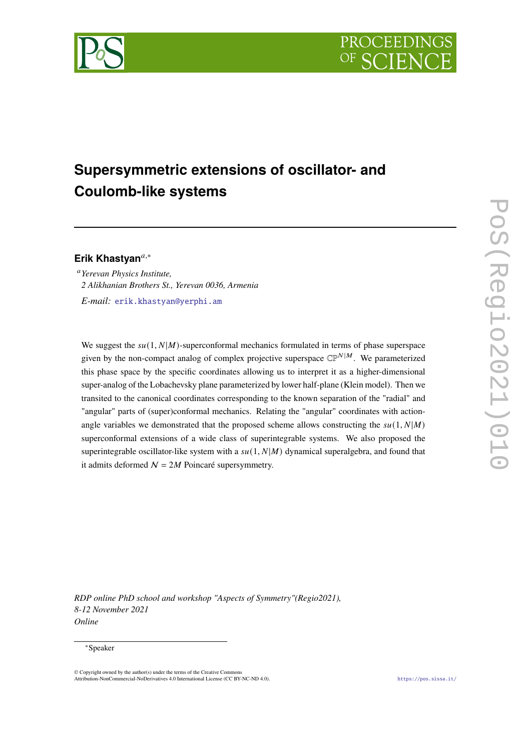



# **Supersymmetric extensions of oscillator- and Coulomb-like systems**

# **Erik Khastyan**,<sup>∗</sup>

*Yerevan Physics Institute, 2 Alikhanian Brothers St., Yerevan 0036, Armenia E-mail:* [erik.khastyan@yerphi.am](mailto:erik.khastyan@yerphi.am)

We suggest the  $su(1, N|M)$ -superconformal mechanics formulated in terms of phase superspace given by the non-compact analog of complex projective superspace  $\mathbb{CP}^{N|M}$ . We parameterized this phase space by the specific coordinates allowing us to interpret it as a higher-dimensional super-analog of the Lobachevsky plane parameterized by lower half-plane (Klein model). Then we transited to the canonical coordinates corresponding to the known separation of the "radial" and "angular" parts of (super)conformal mechanics. Relating the "angular" coordinates with actionangle variables we demonstrated that the proposed scheme allows constructing the  $su(1, N|M)$ superconformal extensions of a wide class of superintegrable systems. We also proposed the superintegrable oscillator-like system with a  $su(1, N|M)$  dynamical superalgebra, and found that it admits deformed  $N = 2M$  Poincaré supersymmetry.

*RDP online PhD school and workshop "Aspects of Symmetry"(Regio2021), 8-12 November 2021 Online*

### <sup>∗</sup>Speaker

© Copyright owned by the author(s) under the terms of the Creative Commons Attribution-NonCommercial-NoDerivatives 4.0 International License (CC BY-NC-ND 4.0). <https://pos.sissa.it/>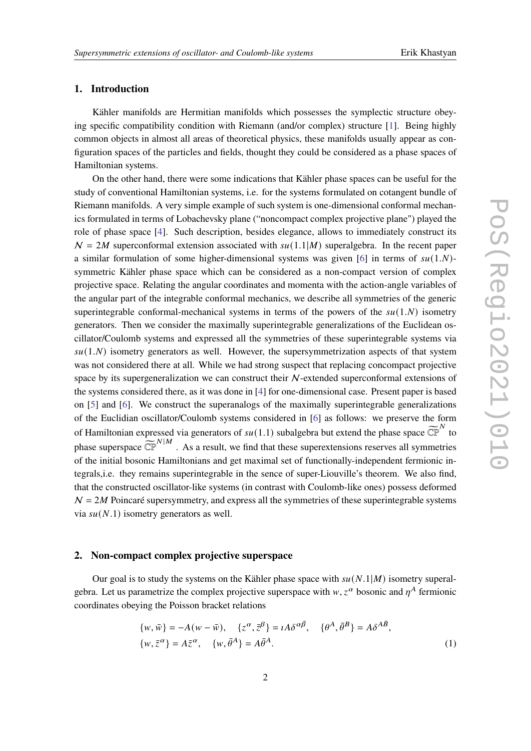# **1. Introduction**

Kähler manifolds are Hermitian manifolds which possesses the symplectic structure obeying specific compatibility condition with Riemann (and/or complex) structure [\[1\]](#page-9-0). Being highly common objects in almost all areas of theoretical physics, these manifolds usually appear as configuration spaces of the particles and fields, thought they could be considered as a phase spaces of Hamiltonian systems.

On the other hand, there were some indications that Kähler phase spaces can be useful for the study of conventional Hamiltonian systems, i.e. for the systems formulated on cotangent bundle of Riemann manifolds. A very simple example of such system is one-dimensional conformal mechanics formulated in terms of Lobachevsky plane ("noncompact complex projective plane") played the role of phase space [\[4\]](#page-10-0). Such description, besides elegance, allows to immediately construct its  $N = 2M$  superconformal extension associated with  $su(1.1|M)$  superalgebra. In the recent paper a similar formulation of some higher-dimensional systems was given [\[6\]](#page-10-1) in terms of  $su(1,N)$ symmetric Kähler phase space which can be considered as a non-compact version of complex projective space. Relating the angular coordinates and momenta with the action-angle variables of the angular part of the integrable conformal mechanics, we describe all symmetries of the generic superintegrable conformal-mechanical systems in terms of the powers of the  $su(1,N)$  isometry generators. Then we consider the maximally superintegrable generalizations of the Euclidean oscillator/Coulomb systems and expressed all the symmetries of these superintegrable systems via  $su(1,N)$  isometry generators as well. However, the supersymmetrization aspects of that system was not considered there at all. While we had strong suspect that replacing concompact projective space by its supergeneralization we can construct their N-extended superconformal extensions of the systems considered there, as it was done in [\[4\]](#page-10-0) for one-dimensional case. Present paper is based on [\[5\]](#page-10-2) and [\[6\]](#page-10-1). We construct the superanalogs of the maximally superintegrable generalizations of the Euclidian oscillator/Coulomb systems considered in [\[6\]](#page-10-1) as follows: we preserve the form of Hamiltonian expressed via generators of  $su(1.1)$  subalgebra but extend the phase space  $\widetilde{\mathbb{CP}}^N$  to phase superspace  $\overline{\mathbb{CP}}^{N|M}$ . As a result, we find that these superextensions reserves all symmetries of the initial bosonic Hamiltonians and get maximal set of functionally-independent fermionic integrals,i.e. they remains superintegrable in the sence of super-Liouville's theorem. We also find, that the constructed oscillator-like systems (in contrast with Coulomb-like ones) possess deformed  $N = 2M$  Poincaré supersymmetry, and express all the symmetries of these superintegrable systems via  $su(N.1)$  isometry generators as well.

# **2. Non-compact complex projective superspace**

Our goal is to study the systems on the Kähler phase space with  $su(N.1|M)$  isometry superalgebra. Let us parametrize the complex projective superspace with  $w, z^{\alpha}$  bosonic and  $\eta^A$  fermionic coordinates obeying the Poisson bracket relations

<span id="page-1-0"></span>
$$
\{w, \overline{w}\} = -A(w - \overline{w}), \quad \{z^{\alpha}, \overline{z}^{\beta}\} = iA\delta^{\alpha\overline{\beta}}, \quad \{\theta^A, \overline{\theta}^B\} = A\delta^{A\overline{B}},
$$
  

$$
\{w, \overline{z}^{\alpha}\} = A\overline{z}^{\alpha}, \quad \{w, \overline{\theta}^A\} = A\overline{\theta}^A.
$$
 (1)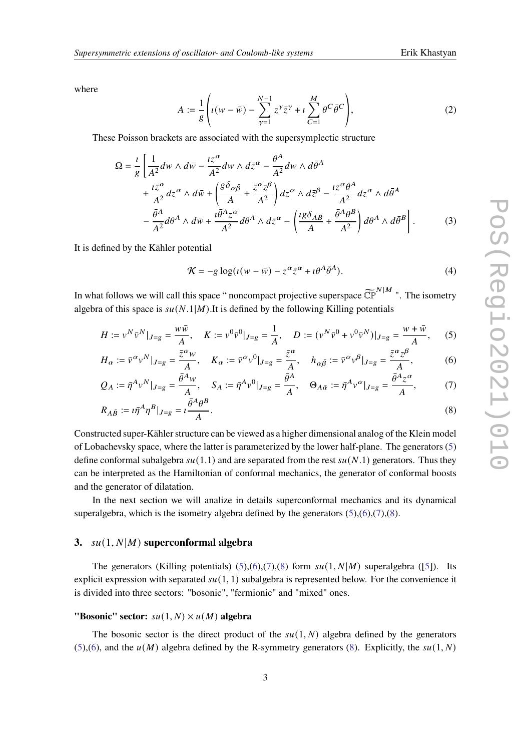where

$$
A := \frac{1}{g} \left( \iota(w - \bar{w}) - \sum_{\gamma=1}^{N-1} z^{\gamma} \bar{z}^{\gamma} + \iota \sum_{C=1}^{M} \theta^{C} \bar{\theta}^{C} \right), \tag{2}
$$

These Poisson brackets are associated with the supersymplectic structure

$$
\Omega = \frac{i}{g} \left[ \frac{1}{A^2} dw \wedge d\bar{w} - \frac{iz^{\alpha}}{A^2} dw \wedge d\bar{z}^{\alpha} - \frac{\theta^A}{A^2} dw \wedge d\bar{\theta}^A \right.\left. + \frac{i\bar{z}^{\alpha}}{A^2} dz^{\alpha} \wedge d\bar{w} + \left( \frac{g \delta_{\alpha\bar{\beta}}}{A} + \frac{\bar{z}^{\alpha} z^{\beta}}{A^2} \right) dz^{\alpha} \wedge d\bar{z}^{\beta} - \frac{i\bar{z}^{\alpha} \theta^A}{A^2} dz^{\alpha} \wedge d\bar{\theta}^A \left. - \frac{\bar{\theta}^A}{A^2} d\theta^A \wedge d\bar{w} + \frac{i\bar{\theta}^A z^{\alpha}}{A^2} d\theta^A \wedge d\bar{z}^{\alpha} - \left( \frac{ig \delta_{A\bar{B}}}{A} + \frac{\bar{\theta}^A \theta^B}{A^2} \right) d\theta^A \wedge d\bar{\theta}^B \right]. \tag{3}
$$

It is defined by the Kähler potential

<span id="page-2-3"></span><span id="page-2-2"></span><span id="page-2-1"></span><span id="page-2-0"></span>
$$
\mathcal{K} = -g \log(\iota(w - \bar{w}) - z^{\alpha} \bar{z}^{\alpha} + i \theta^A \bar{\theta}^A). \tag{4}
$$

In what follows we will call this space " noncompact projective superspace  $\widetilde{\mathbb{CP}}^{N|M}$  ". The isometry algebra of this space is  $su(N.1|M)$ .It is defined by the following Killing potentials

$$
H := v^N \bar{v}^N |_{J=g} = \frac{w \bar{w}}{A}, \quad K := v^0 \bar{v}^0 |_{J=g} = \frac{1}{A}, \quad D := (v^N \bar{v}^0 + v^0 \bar{v}^N) |_{J=g} = \frac{w + \bar{w}}{A}, \quad (5)
$$

$$
H_{\alpha} := \bar{v}^{\alpha} v^{N} |_{J=g} = \frac{\bar{z}^{\alpha} w}{A}, \quad K_{\alpha} := \bar{v}^{\alpha} v^{0} |_{J=g} = \frac{\bar{z}^{\alpha}}{A}, \quad h_{\alpha\bar{\beta}} := \bar{v}^{\alpha} v^{\beta} |_{J=g} = \frac{\bar{z}^{\alpha} z^{\beta}}{A}, \tag{6}
$$

$$
Q_A := \bar{\eta}^A v^N |_{J=g} = \frac{\bar{\theta}^A w}{A}, \quad S_A := \bar{\eta}^A v^0 |_{J=g} = \frac{\bar{\theta}^A}{A}, \quad \Theta_{A\bar{\alpha}} := \bar{\eta}^A v^\alpha |_{J=g} = \frac{\bar{\theta}^A z^\alpha}{A}, \tag{7}
$$

$$
R_{A\bar{B}} := i\bar{\eta}^A \eta^B |_{J=g} = i \frac{\bar{\theta}^A \theta^B}{A}.
$$
\n
$$
(8)
$$

Constructed super-Kähler structure can be viewed as a higher dimensional analog of the Klein model of Lobachevsky space, where the latter is parameterized by the lower half-plane. The generators [\(5\)](#page-2-0) define conformal subalgebra  $su(1.1)$  and are separated from the rest  $su(N.1)$  generators. Thus they can be interpreted as the Hamiltonian of conformal mechanics, the generator of conformal boosts and the generator of dilatation.

In the next section we will analize in details superconformal mechanics and its dynamical superalgebra, which is the isometry algebra defined by the generators  $(5)$ , $(6)$ , $(7)$ , $(8)$ .

# **3.**  $su(1, N|M)$  superconformal algebra

The generators (Killing potentials) [\(5\)](#page-2-0),[\(6\)](#page-2-1),[\(7\)](#page-2-2),[\(8\)](#page-2-3) form  $su(1, N|M)$  superalgebra ([\[5\]](#page-10-2)). Its explicit expression with separated  $su(1, 1)$  subalgebra is represented below. For the convenience it is divided into three sectors: "bosonic", "fermionic" and "mixed" ones.

## **"Bosonic" sector:**  $su(1, N) \times u(M)$  algebra

The bosonic sector is the direct product of the  $su(1, N)$  algebra defined by the generators [\(5\)](#page-2-0),[\(6\)](#page-2-1), and the  $u(M)$  algebra defined by the R-symmetry generators [\(8\)](#page-2-3). Explicitly, the  $su(1, N)$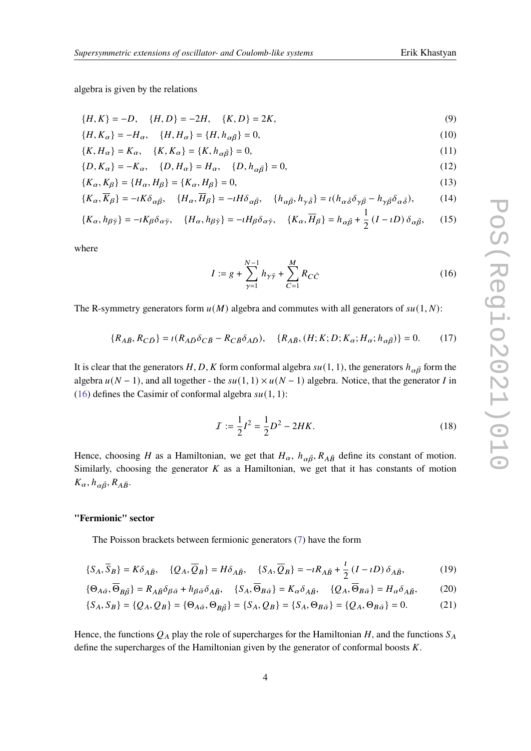algebra is given by the relations

$$
\{H, K\} = -D, \quad \{H, D\} = -2H, \quad \{K, D\} = 2K,\tag{9}
$$

$$
\{H, K_{\alpha}\} = -H_{\alpha}, \quad \{H, H_{\alpha}\} = \{H, h_{\alpha\bar{\beta}}\} = 0,
$$
\n(10)

$$
\{K, H_{\alpha}\} = K_{\alpha}, \quad \{K, K_{\alpha}\} = \{K, h_{\alpha\bar{\beta}}\} = 0,\tag{11}
$$

$$
\{D, K_{\alpha}\} = -K_{\alpha}, \quad \{D, H_{\alpha}\} = H_{\alpha}, \quad \{D, h_{\alpha\bar{\beta}}\} = 0,
$$
\n(12)

$$
\{K_{\alpha}, K_{\beta}\} = \{H_{\alpha}, H_{\beta}\} = \{K_{\alpha}, H_{\beta}\} = 0,\tag{13}
$$

$$
\{K_{\alpha}, \overline{K}_{\beta}\} = -\iota K \delta_{\alpha\bar{\beta}}, \quad \{H_{\alpha}, \overline{H}_{\beta}\} = -\iota H \delta_{\alpha\bar{\beta}}, \quad \{h_{\alpha\bar{\beta}}, h_{\gamma\bar{\delta}}\} = \iota (h_{\alpha\bar{\delta}} \delta_{\gamma\bar{\beta}} - h_{\gamma\bar{\beta}} \delta_{\alpha\bar{\delta}}), \tag{14}
$$

$$
\{K_{\alpha}, h_{\beta\bar{\gamma}}\} = -iK_{\beta}\delta_{\alpha\bar{\gamma}}, \quad \{H_{\alpha}, h_{\beta\bar{\gamma}}\} = -iH_{\beta}\delta_{\alpha\bar{\gamma}}, \quad \{K_{\alpha}, \overline{H}_{\beta}\} = h_{\alpha\bar{\beta}} + \frac{1}{2}(I - iD)\,\delta_{\alpha\bar{\beta}},\tag{15}
$$

where

<span id="page-3-0"></span>
$$
I := g + \sum_{\gamma=1}^{N-1} h_{\gamma\bar{\gamma}} + \sum_{C=1}^{M} R_{C\bar{C}}
$$
 (16)

The R-symmetry generators form  $u(M)$  algebra and commutes with all generators of  $su(1, N)$ :

$$
\{R_{A\bar{B}}, R_{C\bar{D}}\} = \iota(R_{A\bar{D}}\delta_{C\bar{B}} - R_{C\bar{B}}\delta_{A\bar{D}}), \quad \{R_{A\bar{B}}, (H; K; D; K_{\alpha}; H_{\alpha}; h_{\alpha\bar{\beta}})\} = 0. \tag{17}
$$

It is clear that the generators H, D, K form conformal algebra  $su(1, 1)$ , the generators  $h_{\alpha\bar{\beta}}$  form the algebra  $u(N - 1)$ , and all together - the  $su(1, 1) \times u(N - 1)$  algebra. Notice, that the generator *I* in [\(16\)](#page-3-0) defines the Casimir of conformal algebra  $su(1, 1)$ :

$$
I := \frac{1}{2}I^2 = \frac{1}{2}D^2 - 2HK.
$$
 (18)

Hence, choosing H as a Hamiltonian, we get that  $H_{\alpha}$ ,  $h_{\alpha\bar{\beta}}$ ,  $R_{A\bar{B}}$  define its constant of motion. Similarly, choosing the generator  $K$  as a Hamiltonian, we get that it has constants of motion  $K_{\alpha}, h_{\alpha\bar{\beta}}, R_{A\bar{B}}.$ 

### **"Fermionic" sector**

The Poisson brackets between fermionic generators [\(7\)](#page-2-2) have the form

$$
\{S_A, \overline{S}_B\} = K\delta_{A\overline{B}}, \quad \{Q_A, \overline{Q}_B\} = H\delta_{A\overline{B}}, \quad \{S_A, \overline{Q}_B\} = -iR_{A\overline{B}} + \frac{i}{2}(I - iD)\delta_{A\overline{B}},
$$
(19)

$$
\{\Theta_{A\bar{\alpha}}, \overline{\Theta}_{B\bar{\beta}}\} = R_{A\bar{B}}\delta_{\beta\bar{\alpha}} + h_{\beta\bar{\alpha}}\delta_{A\bar{B}}, \quad \{S_A, \overline{\Theta}_{B\bar{\alpha}}\} = K_{\alpha}\delta_{A\bar{B}}, \quad \{Q_A, \overline{\Theta}_{B\bar{\alpha}}\} = H_{\alpha}\delta_{A\bar{B}}, \tag{20}
$$

$$
\{S_A, S_B\} = \{Q_A, Q_B\} = \{\Theta_{A\bar{\alpha}}, \Theta_{B\bar{\beta}}\} = \{S_A, Q_B\} = \{S_A, \Theta_{B\bar{\alpha}}\} = \{Q_A, \Theta_{B\bar{\alpha}}\} = 0. \tag{21}
$$

Hence, the functions  $Q_A$  play the role of supercharges for the Hamiltonian H, and the functions  $S_A$ define the supercharges of the Hamiltonian given by the generator of conformal boosts  $K$ .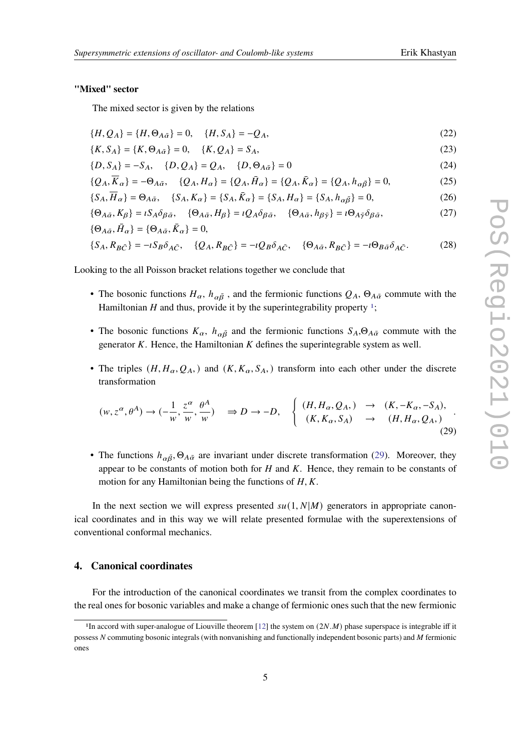### **"Mixed" sector**

The mixed sector is given by the relations

$$
\{H, Q_A\} = \{H, \Theta_{A\bar{\alpha}}\} = 0, \quad \{H, S_A\} = -Q_A,\tag{22}
$$

$$
\{K, S_A\} = \{K, \Theta_{A\bar{\alpha}}\} = 0, \quad \{K, Q_A\} = S_A,\tag{23}
$$

$$
\{D, S_A\} = -S_A, \quad \{D, Q_A\} = Q_A, \quad \{D, \Theta_{A\bar{\alpha}}\} = 0
$$
 (24)

$$
\{Q_A, \overline{K}_{\alpha}\} = -\Theta_{A\bar{\alpha}}, \quad \{Q_A, H_{\alpha}\} = \{Q_A, \bar{H}_{\alpha}\} = \{Q_A, \bar{K}_{\alpha}\} = \{Q_A, h_{\alpha\bar{\beta}}\} = 0,
$$
\n(25)

$$
\{S_A, \overline{H}_\alpha\} = \Theta_{A\bar{\alpha}}, \quad \{S_A, K_\alpha\} = \{S_A, \bar{K}_\alpha\} = \{S_A, H_\alpha\} = \{S_A, h_{\alpha\bar{\beta}}\} = 0,\tag{26}
$$

$$
\{\Theta_{A\bar{\alpha}}, K_{\beta}\} = iS_A \delta_{\beta \bar{\alpha}}, \quad \{\Theta_{A\bar{\alpha}}, H_{\beta}\} = iQ_A \delta_{\beta \bar{\alpha}}, \quad \{\Theta_{A\bar{\alpha}}, h_{\beta \bar{\gamma}}\} = i\Theta_{A\bar{\gamma}} \delta_{\beta \bar{\alpha}},
$$
\n
$$
\{\Theta_{A\bar{\alpha}}, \bar{H}_{\alpha}\} = \{\Theta_{A\bar{\alpha}}, \bar{K}_{\alpha}\} = 0,
$$
\n(27)

$$
\{S_A, R_{B\bar{C}}\} = -iS_B\delta_{A\bar{C}}, \quad \{Q_A, R_{B\bar{C}}\} = -iQ_B\delta_{A\bar{C}}, \quad \{\Theta_{A\bar{\alpha}}, R_{B\bar{C}}\} = -i\Theta_{B\bar{\alpha}}\delta_{A\bar{C}}.
$$
 (28)

Looking to the all Poisson bracket relations together we conclude that

- The bosonic functions  $H_\alpha$ ,  $h_{\alpha\bar{\beta}}$ , and the fermionic functions  $Q_A$ ,  $\Theta_{A\bar{\alpha}}$  commute with the Hamiltonian  $H$  and thus, provide it by the superintegrability property  $\frac{1}{1}$  $\frac{1}{1}$  $\frac{1}{1}$ ;
- The bosonic functions  $K_{\alpha}$ ,  $h_{\alpha\bar{\beta}}$  and the fermionic functions  $S_A, \Theta_{A\bar{\alpha}}$  commute with the generator  $K$ . Hence, the Hamiltonian  $K$  defines the superintegrable system as well.
- The triples  $(H, H_{\alpha}, Q_A)$  and  $(K, K_{\alpha}, S_A)$  transform into each other under the discrete transformation

<span id="page-4-1"></span>
$$
(w, z^{\alpha}, \theta^{A}) \to (-\frac{1}{w}, \frac{z^{\alpha}}{w}, \frac{\theta^{A}}{w}) \quad \Rightarrow D \to -D, \quad \begin{cases} (H, H_{\alpha}, Q_{A},) \to (K, -K_{\alpha}, -S_{A}), \\ (K, K_{\alpha}, S_{A}) \to (H, H_{\alpha}, Q_{A},) \end{cases} \tag{29}
$$

• The functions  $h_{\alpha\bar{\beta}}$ ,  $\Theta_{A\bar{\alpha}}$  are invariant under discrete transformation [\(29\)](#page-4-1). Moreover, they appear to be constants of motion both for  $H$  and  $K$ . Hence, they remain to be constants of motion for any Hamiltonian being the functions of  $H, K$ .

In the next section we will express presented  $su(1, N|M)$  generators in appropriate canonical coordinates and in this way we will relate presented formulae with the superextensions of conventional conformal mechanics.

# **4. Canonical coordinates**

For the introduction of the canonical coordinates we transit from the complex coordinates to the real ones for bosonic variables and make a change of fermionic ones such that the new fermionic

<span id="page-4-0"></span><sup>&</sup>lt;sup>1</sup>In accord with super-analogue of Liouville theorem [\[12\]](#page-11-0) the system on  $(2N \cdot M)$  phase superspace is integrable iff it possess  $N$  commuting bosonic integrals (with nonvanishing and functionally independent bosonic parts) and  $M$  fermionic ones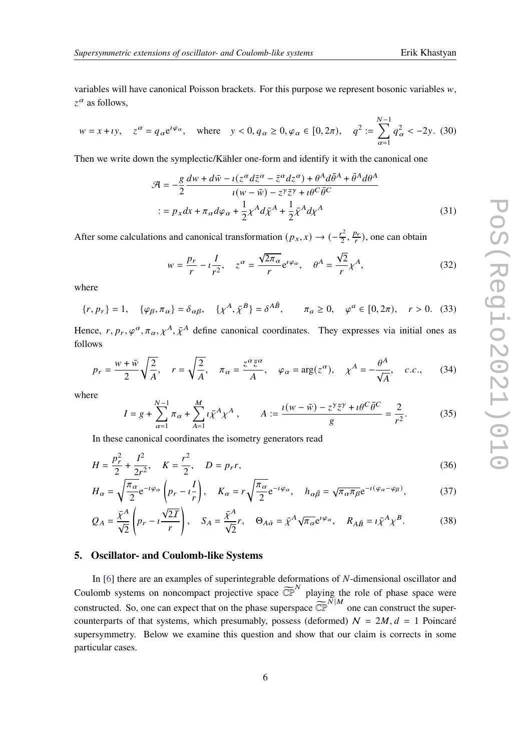variables will have canonical Poisson brackets. For this purpose we represent bosonic variables  $w$ ,  $z^{\alpha}$  as follows,

$$
w = x + iy
$$
,  $z^{\alpha} = q_{\alpha} e^{i\varphi_{\alpha}}$ , where  $y < 0$ ,  $q_{\alpha} \ge 0$ ,  $\varphi_{\alpha} \in [0, 2\pi)$ ,  $q^2 := \sum_{\alpha=1}^{N-1} q_{\alpha}^2 < -2y$ . (30)

Then we write down the symplectic/Kähler one-form and identify it with the canonical one

$$
\mathcal{A} = -\frac{g}{2} \frac{dw + d\bar{w} - i(z^{\alpha} d\bar{z}^{\alpha} - \bar{z}^{\alpha} dz^{\alpha}) + \theta^{A} d\bar{\theta}^{A} + \bar{\theta}^{A} d\theta^{A}}{i(w - \bar{w}) - z^{\gamma} \bar{z}^{\gamma} + i\theta^{C} \bar{\theta}^{C}}
$$
  

$$
:= p_{x} dx + \pi_{\alpha} d\varphi_{\alpha} + \frac{1}{2} \chi^{A} d\bar{\chi}^{A} + \frac{1}{2} \bar{\chi}^{A} d\chi^{A}
$$
(31)

After some calculations and canonical transformation  $(p_x, x) \rightarrow (-\frac{r^2}{2})$  $\frac{r^2}{2}, \frac{p_r}{r}$ ), one can obtain

$$
w = \frac{p_r}{r} - i\frac{I}{r^2}, \quad z^{\alpha} = \frac{\sqrt{2\pi_{\alpha}}}{r} e^{i\varphi_{\alpha}}, \quad \theta^A = \frac{\sqrt{2}}{r} \chi^A,
$$
 (32)

where

$$
\{r, p_r\} = 1, \quad \{\varphi_\beta, \pi_\alpha\} = \delta_{\alpha\beta}, \quad \{\chi^A, \bar{\chi}^B\} = \delta^{A\bar{B}}, \qquad \pi_a \ge 0, \quad \varphi^a \in [0, 2\pi), \quad r > 0. \tag{33}
$$

Hence,  $r, p_r, \varphi^{\alpha}, \pi_{\alpha}, \chi^A, \bar{\chi}^A$  define canonical coordinates. They expresses via initial ones as follows

<span id="page-5-0"></span>
$$
p_r = \frac{w + \bar{w}}{2} \sqrt{\frac{2}{A}}, \quad r = \sqrt{\frac{2}{A}}, \quad \pi_\alpha = \frac{z^\alpha \bar{z}^\alpha}{A}, \quad \varphi_\alpha = \arg(z^\alpha), \quad \chi^A = -\frac{\theta^A}{\sqrt{A}}, \quad c.c., \tag{34}
$$

where

$$
I = g + \sum_{\alpha=1}^{N-1} \pi_{\alpha} + \sum_{A=1}^{M} \iota \bar{\chi}^{A} \chi^{A} , \qquad A := \frac{\iota(w - \bar{w}) - z^{\gamma} \bar{z}^{\gamma} + \iota \theta^{C} \bar{\theta}^{C}}{g} = \frac{2}{r^{2}}.
$$
 (35)

In these canonical coordinates the isometry generators read

$$
H = \frac{p_r^2}{2} + \frac{I^2}{2r^2}, \quad K = \frac{r^2}{2}, \quad D = p_r r,
$$
\n(36)

$$
H_{\alpha} = \sqrt{\frac{\pi_{\alpha}}{2}} e^{-i\varphi_{\alpha}} \left( p_r - i \frac{I}{r} \right), \quad K_{\alpha} = r \sqrt{\frac{\pi_{\alpha}}{2}} e^{-i\varphi_{\alpha}}, \quad h_{\alpha \bar{\beta}} = \sqrt{\pi_{\alpha} \pi_{\beta}} e^{-i(\varphi_{\alpha} - \varphi_{\beta})}, \tag{37}
$$

$$
Q_A = \frac{\bar{\chi}^A}{\sqrt{2}} \left( p_r - i \frac{\sqrt{2I}}{r} \right), \quad S_A = \frac{\bar{\chi}^A}{\sqrt{2}} r, \quad \Theta_{A\bar{\alpha}} = \bar{\chi}^A \sqrt{\pi_{\alpha}} e^{i \varphi_{\alpha}}, \quad R_{A\bar{B}} = i \bar{\chi}^A \chi^B. \tag{38}
$$

# **5. Oscillator- and Coulomb-like Systems**

In  $[6]$  there are an examples of superintegrable deformations of  $N$ -dimensional oscillator and Coulomb systems on noncompact projective space  $\widetilde{\mathbb{CP}}^N$  playing the role of phase space were constructed. So, one can expect that on the phase superspace  $\widetilde{\mathbb{CP}}^{N|M}$  one can construct the supercounterparts of that systems, which presumably, possess (deformed)  $N = 2M$ ,  $d = 1$  Poincaré supersymmetry. Below we examine this question and show that our claim is corrects in some particular cases.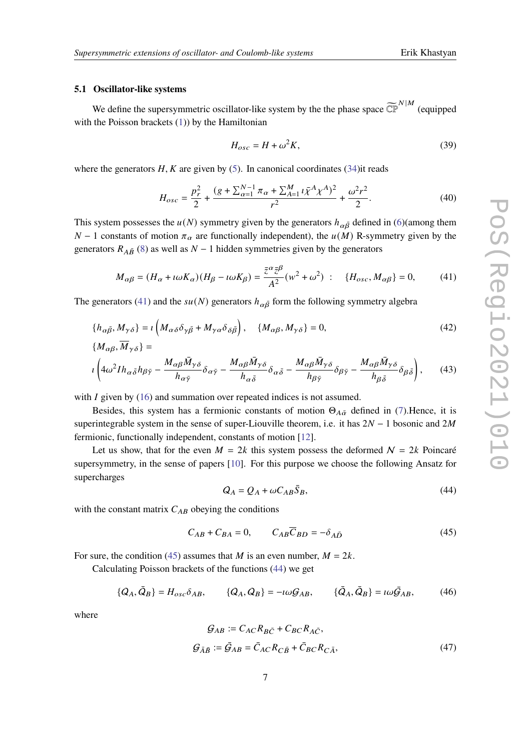### **5.1 Oscillator-like systems**

We define the supersymmetric oscillator-like system by the the phase space  $\widetilde{\mathbb{CP}}^{N|M}$  (equipped with the Poisson brackets [\(1\)](#page-1-0)) by the Hamiltonian

<span id="page-6-3"></span>
$$
H_{osc} = H + \omega^2 K, \tag{39}
$$

where the generators  $H, K$  are given by [\(5\)](#page-2-0). In canonical coordinates [\(34\)](#page-5-0)it reads

$$
H_{osc} = \frac{p_r^2}{2} + \frac{(g + \sum_{\alpha=1}^{N-1} \pi_\alpha + \sum_{A=1}^M \iota \bar{\chi}^A \chi^A)^2}{r^2} + \frac{\omega^2 r^2}{2}.
$$
 (40)

This system possesses the  $u(N)$  symmetry given by the generators  $h_{\alpha\bar{\beta}}$  defined in [\(6\)](#page-2-1)(among them  $N-1$  constants of motion  $\pi_{\alpha}$  are functionally independent), the  $u(M)$  R-symmetry given by the generators  $R_{A\bar{B}}$  [\(8\)](#page-2-3) as well as  $N-1$  hidden symmetries given by the generators

<span id="page-6-0"></span>
$$
M_{\alpha\beta} = (H_{\alpha} + \iota\omega K_{\alpha})(H_{\beta} - \iota\omega K_{\beta}) = \frac{\bar{z}^{\alpha}\bar{z}^{\beta}}{A^2}(w^2 + \omega^2) : \quad \{H_{osc}, M_{\alpha\beta}\} = 0,\tag{41}
$$

The generators [\(41\)](#page-6-0) and the  $su(N)$  generators  $h_{\alpha\bar{\beta}}$  form the following symmetry algebra

$$
\{h_{\alpha\bar{\beta}}, M_{\gamma\delta}\} = \iota \left(M_{\alpha\delta}\delta_{\gamma\bar{\beta}} + M_{\gamma\alpha}\delta_{\delta\bar{\beta}}\right), \quad \{M_{\alpha\beta}, M_{\gamma\delta}\} = 0,
$$
\n
$$
\{M_{\alpha\beta}, \overline{M}_{\gamma\delta}\} =
$$
\n
$$
(42)
$$

$$
i\left(4\omega^2 I h_{\alpha\bar{\delta}} h_{\beta\bar{\gamma}} - \frac{M_{\alpha\beta} \bar{M}_{\gamma\delta}}{h_{\alpha\bar{\gamma}}} \delta_{\alpha\bar{\gamma}} - \frac{M_{\alpha\beta} \bar{M}_{\gamma\delta}}{h_{\alpha\bar{\delta}}} \delta_{\alpha\bar{\delta}} - \frac{M_{\alpha\beta} \bar{M}_{\gamma\delta}}{h_{\beta\bar{\gamma}}} \delta_{\beta\bar{\gamma}} - \frac{M_{\alpha\beta} \bar{M}_{\gamma\delta}}{h_{\beta\bar{\delta}}} \delta_{\beta\bar{\delta}}\right),\tag{43}
$$

with  $I$  given by [\(16\)](#page-3-0) and summation over repeated indices is not assumed.

Besides, this system has a fermionic constants of motion  $\Theta_{A\bar{\alpha}}$  defined in [\(7\)](#page-2-2). Hence, it is superintegrable system in the sense of super-Liouville theorem, i.e. it has  $2N - 1$  bosonic and  $2M$ fermionic, functionally independent, constants of motion [\[12\]](#page-11-0).

Let us show, that for the even  $M = 2k$  this system possess the deformed  $N = 2k$  Poincaré supersymmetry, in the sense of papers [\[10\]](#page-10-3). For this purpose we choose the following Ansatz for supercharges

<span id="page-6-2"></span>
$$
Q_A = Q_A + \omega C_{AB} \bar{S}_B, \tag{44}
$$

with the constant matrix  $C_{AB}$  obeying the conditions

<span id="page-6-1"></span>
$$
C_{AB} + C_{BA} = 0, \qquad C_{AB}\overline{C}_{BD} = -\delta_{A\overline{D}} \tag{45}
$$

For sure, the condition [\(45\)](#page-6-1) assumes that *M* is an even number,  $M = 2k$ .

Calculating Poisson brackets of the functions [\(44\)](#page-6-2) we get

$$
\{Q_A, \bar{Q}_B\} = H_{osc}\delta_{AB}, \qquad \{Q_A, Q_B\} = -i\omega\mathcal{G}_{AB}, \qquad \{\bar{Q}_A, \bar{Q}_B\} = i\omega\bar{\mathcal{G}}_{AB}, \qquad (46)
$$

where

$$
\mathcal{G}_{AB} := C_{AC} R_{B\bar{C}} + C_{BC} R_{A\bar{C}},
$$
  

$$
\mathcal{G}_{\bar{A}\bar{B}} := \bar{\mathcal{G}}_{AB} = \bar{C}_{AC} R_{C\bar{B}} + \bar{C}_{BC} R_{C\bar{A}},
$$
(47)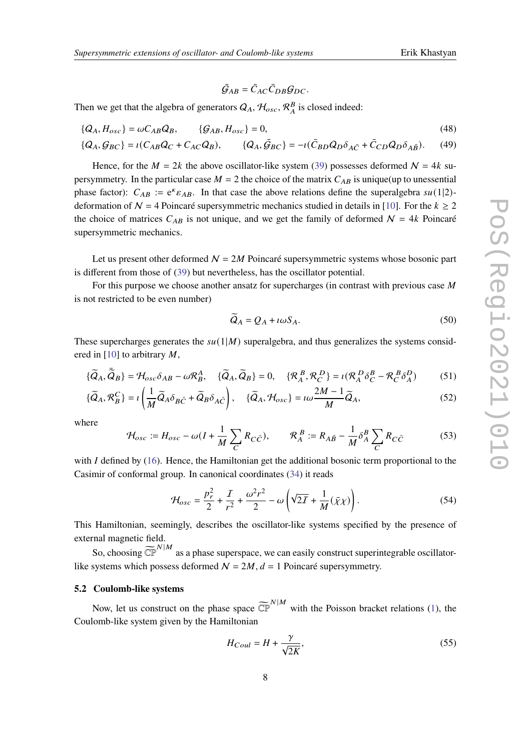$\bar{\mathcal{G}}_{AB} = \bar{C}_{AC}\bar{C}_{DB}\mathcal{G}_{DC}.$ 

Then we get that the algebra of generators  $Q_A$ ,  $\mathcal{H}_{osc}$ ,  $\mathcal{R}_A^B$  is closed indeed:

$$
\{Q_A, H_{osc}\} = \omega C_{AB} Q_B, \qquad \{G_{AB}, H_{osc}\} = 0,\tag{48}
$$

$$
\{Q_A, \mathcal{G}_{BC}\} = \iota(C_{AB}Q_C + C_{AC}Q_B), \qquad \{Q_A, \bar{\mathcal{G}}_{BC}\} = -\iota(\bar{C}_{BD}Q_D\delta_{A\bar{C}} + \bar{C}_{CD}Q_D\delta_{A\bar{B}}). \tag{49}
$$

Hence, for the  $M = 2k$  the above oscillator-like system [\(39\)](#page-6-3) possesses deformed  $N = 4k$  supersymmetry. In the particular case  $M = 2$  the choice of the matrix  $C_{AB}$  is unique(up to unessential phase factor):  $C_{AB} := e^k \varepsilon_{AB}$ . In that case the above relations define the superalgebra  $su(1|2)$ deformation of  $N = 4$  Poincaré supersymmetric mechanics studied in details in [\[10\]](#page-10-3). For the  $k \ge 2$ the choice of matrices  $C_{AB}$  is not unique, and we get the family of deformed  $N = 4k$  Poincaré supersymmetric mechanics.

Let us present other deformed  $N = 2M$  Poincaré supersymmetric systems whose bosonic part is different from those of [\(39\)](#page-6-3) but nevertheless, has the oscillator potential.

For this purpose we choose another ansatz for supercharges (in contrast with previous case  $M$ is not restricted to be even number)

$$
\widetilde{Q}_A = Q_A + \iota \omega S_A. \tag{50}
$$

These supercharges generates the  $su(1|M)$  superalgebra, and thus generalizes the systems consid-ered in [\[10\]](#page-10-3) to arbitrary  $M$ ,

$$
\{\tilde{Q}_A, \tilde{\bar{Q}}_B\} = \mathcal{H}_{osc}\delta_{AB} - \omega \mathcal{R}_B^A, \quad \{\tilde{Q}_A, \tilde{Q}_B\} = 0, \quad \{\mathcal{R}_A^B, \mathcal{R}_C^D\} = \iota(\mathcal{R}_A^D \delta_C^B - \mathcal{R}_C^B \delta_A^D) \tag{51}
$$

$$
\{\widetilde{Q}_A, \mathcal{R}_B^C\} = \iota \left( \frac{1}{M} \widetilde{Q}_A \delta_{B\bar{C}} + \widetilde{Q}_B \delta_{A\bar{C}} \right), \quad \{\widetilde{Q}_A, \mathcal{H}_{osc}\} = \iota \omega \frac{2M - 1}{M} \widetilde{Q}_A,\tag{52}
$$

where

<span id="page-7-0"></span>
$$
\mathcal{H}_{osc} := H_{osc} - \omega (I + \frac{1}{M} \sum_C R_{C\bar{C}}), \qquad \mathcal{R}_A^B := R_{A\bar{B}} - \frac{1}{M} \delta_A^B \sum_C R_{C\bar{C}}
$$
(53)

with  $I$  defined by [\(16\)](#page-3-0). Hence, the Hamiltonian get the additional bosonic term proportional to the Casimir of conformal group. In canonical coordinates [\(34\)](#page-5-0) it reads

$$
\mathcal{H}_{osc} = \frac{p_r^2}{2} + \frac{I}{r^2} + \frac{\omega^2 r^2}{2} - \omega \left( \sqrt{2I} + \frac{1}{M} (\bar{\chi} \chi) \right).
$$
 (54)

This Hamiltonian, seemingly, describes the oscillator-like systems specified by the presence of external magnetic field.

So, choosing  $\widetilde{\mathbb{CP}}^{N|M}$  as a phase superspace, we can easily construct superintegrable oscillatorlike systems which possess deformed  $N = 2M$ ,  $d = 1$  Poincaré supersymmetry.

### **5.2 Coulomb-like systems**

Now, let us construct on the phase space  $\widetilde{\mathbb{CP}}^{N|M}$  with the Poisson bracket relations [\(1\)](#page-1-0), the Coulomb-like system given by the Hamiltonian

$$
H_{Coul} = H + \frac{\gamma}{\sqrt{2K}},\tag{55}
$$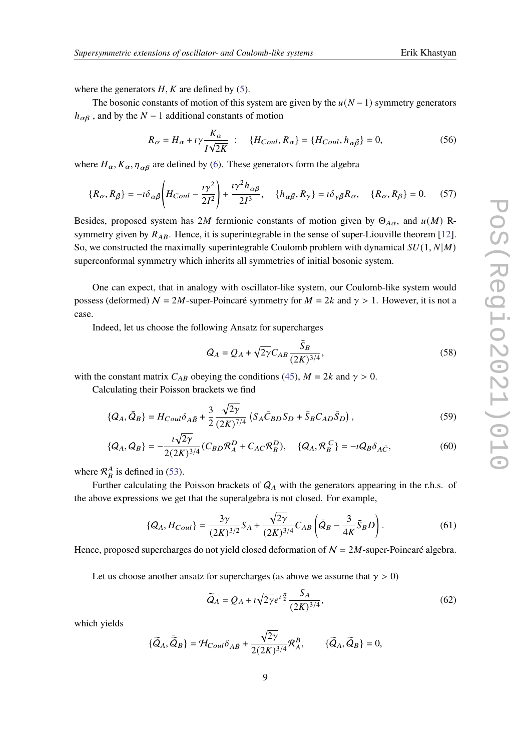where the generators  $H, K$  are defined by [\(5\)](#page-2-0).

The bosonic constants of motion of this system are given by the  $u(N-1)$  symmetry generators  $h_{\alpha\beta}$ , and by the  $N-1$  additional constants of motion

$$
R_{\alpha} = H_{\alpha} + \iota \gamma \frac{K_{\alpha}}{I\sqrt{2K}} \; : \quad \{H_{Coul}, R_{\alpha}\} = \{H_{Coul}, h_{\alpha\bar{\beta}}\} = 0,\tag{56}
$$

where  $H_{\alpha}$ ,  $K_{\alpha}$ ,  $\eta_{\alpha\bar{\beta}}$  are defined by [\(6\)](#page-2-1). These generators form the algebra

$$
\{R_{\alpha}, \bar{R}_{\bar{\beta}}\} = -i\delta_{\alpha\bar{\beta}} \left( H_{Coul} - \frac{i\gamma^2}{2I^2} \right) + \frac{i\gamma^2 h_{\alpha\bar{\beta}}}{2I^3}, \quad \{h_{\alpha\bar{\beta}}, R_{\gamma}\} = i\delta_{\gamma\bar{\beta}} R_{\alpha}, \quad \{R_{\alpha}, R_{\beta}\} = 0. \tag{57}
$$

Besides, proposed system has 2M fermionic constants of motion given by  $\Theta_{A\bar{\alpha}}$ , and  $u(M)$  Rsymmetry given by  $R_{A\bar{B}}$ . Hence, it is superintegrable in the sense of super-Liouville theorem [\[12\]](#page-11-0). So, we constructed the maximally superintegrable Coulomb problem with dynamical  $SU(1, N|M)$ superconformal symmetry which inherits all symmetries of initial bosonic system.

One can expect, that in analogy with oscillator-like system, our Coulomb-like system would possess (deformed)  $N = 2M$ -super-Poincaré symmetry for  $M = 2k$  and  $\gamma > 1$ . However, it is not a case.

Indeed, let us choose the following Ansatz for supercharges

$$
Q_A = Q_A + \sqrt{2\gamma} C_{AB} \frac{\bar{S}_B}{(2K)^{3/4}},
$$
\n(58)

with the constant matrix  $C_{AB}$  obeying the conditions [\(45\)](#page-6-1),  $M = 2k$  and  $\gamma > 0$ .

Calculating their Poisson brackets we find

$$
\{Q_A, \bar{Q}_B\} = H_{Coul}\delta_{A\bar{B}} + \frac{3}{2} \frac{\sqrt{2\gamma}}{(2K)^{7/4}} \left( S_A \bar{C}_{BD} S_D + \bar{S}_B C_{AD} \bar{S}_D \right),\tag{59}
$$

$$
\{Q_A, Q_B\} = -\frac{i\sqrt{2\gamma}}{2(2K)^{3/4}} (C_{BD} \mathcal{R}_A^D + C_{AC} \mathcal{R}_B^D), \quad \{Q_A, \mathcal{R}_B^C\} = -iQ_B \delta_{A\bar{C}},
$$
(60)

where  $\mathcal{R}_B^A$  is defined in [\(53\)](#page-7-0).

Further calculating the Poisson brackets of  $Q_A$  with the generators appearing in the r.h.s. of the above expressions we get that the superalgebra is not closed. For example,

$$
\{Q_A, H_{Coul}\} = \frac{3\gamma}{(2K)^{3/2}} S_A + \frac{\sqrt{2\gamma}}{(2K)^{3/4}} C_{AB} \left(\bar{Q}_B - \frac{3}{4K} \bar{S}_B D\right). \tag{61}
$$

Hence, proposed supercharges do not yield closed deformation of  $N = 2M$ -super-Poincaré algebra.

Let us choose another ansatz for supercharges (as above we assume that  $\gamma > 0$ )

$$
\widetilde{Q}_A = Q_A + \iota \sqrt{2\gamma} e^{i\frac{\pi}{2}} \frac{S_A}{(2K)^{3/4}},\tag{62}
$$

which yields

$$
\{\widetilde{Q}_A, \widetilde{\bar{Q}}_B\} = \mathcal{H}_{Coul} \delta_{A\bar{B}} + \frac{\sqrt{2\gamma}}{2(2K)^{3/4}} \mathcal{R}_A^B, \qquad \{\widetilde{Q}_A, \widetilde{Q}_B\} = 0,
$$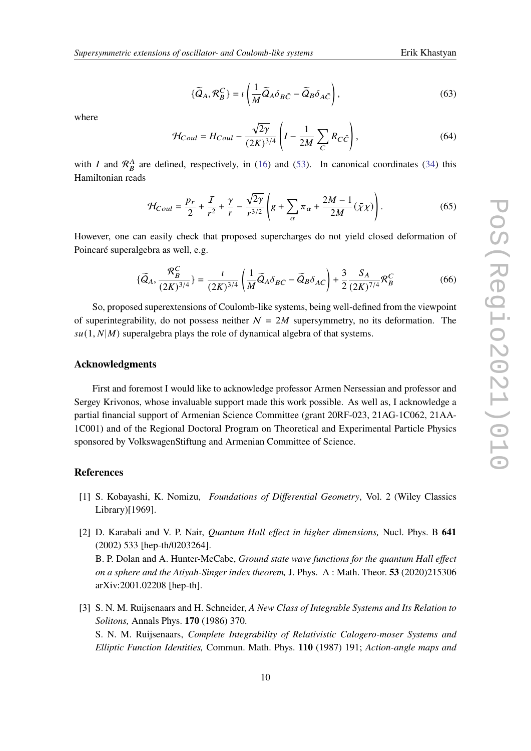$$
\{\widetilde{Q}_A, \mathcal{R}_B^C\} = \iota \left( \frac{1}{M} \widetilde{Q}_A \delta_{B\bar{C}} - \widetilde{Q}_B \delta_{A\bar{C}} \right),\tag{63}
$$

where

$$
\mathcal{H}_{Coul} = H_{Coul} - \frac{\sqrt{2\gamma}}{(2K)^{3/4}} \left( I - \frac{1}{2M} \sum_{C} R_{C\bar{C}} \right),\tag{64}
$$

with *I* and  $\mathcal{R}_B^A$  are defined, respectively, in [\(16\)](#page-3-0) and [\(53\)](#page-7-0). In canonical coordinates [\(34\)](#page-5-0) this Hamiltonian reads

$$
\mathcal{H}_{Coul} = \frac{p_r}{2} + \frac{I}{r^2} + \frac{\gamma}{r} - \frac{\sqrt{2\gamma}}{r^{3/2}} \left( g + \sum_{\alpha} \pi_{\alpha} + \frac{2M - 1}{2M} (\bar{\chi}\chi) \right). \tag{65}
$$

However, one can easily check that proposed supercharges do not yield closed deformation of Poincaré superalgebra as well, e.g.

$$
\{\widetilde{Q}_A, \frac{\mathcal{R}_B^C}{(2K)^{3/4}}\} = \frac{\iota}{(2K)^{3/4}} \left(\frac{1}{M} \widetilde{Q}_A \delta_{B\bar{C}} - \widetilde{Q}_B \delta_{A\bar{C}}\right) + \frac{3}{2} \frac{S_A}{(2K)^{7/4}} \mathcal{R}_B^C
$$
(66)

So, proposed superextensions of Coulomb-like systems, being well-defined from the viewpoint of superintegrability, do not possess neither  $N = 2M$  supersymmetry, no its deformation. The  $su(1, N|M)$  superalgebra plays the role of dynamical algebra of that systems.

### **Acknowledgments**

First and foremost I would like to acknowledge professor Armen Nersessian and professor and Sergey Krivonos, whose invaluable support made this work possible. As well as, I acknowledge a partial financial support of Armenian Science Committee (grant 20RF-023, 21AG-1C062, 21AA-1C001) and of the Regional Doctoral Program on Theoretical and Experimental Particle Physics sponsored by VolkswagenStiftung and Armenian Committee of Science.

# **References**

- <span id="page-9-0"></span>[1] S. Kobayashi, K. Nomizu, *Foundations of Differential Geometry*, Vol. 2 (Wiley Classics Library)[1969].
- [2] D. Karabali and V. P. Nair, *Quantum Hall effect in higher dimensions,* Nucl. Phys. B **641** (2002) 533 [hep-th/0203264]. B. P. Dolan and A. Hunter-McCabe, *Ground state wave functions for the quantum Hall effect on a sphere and the Atiyah-Singer index theorem,* J. Phys. A : Math. Theor. **53** (2020)215306 arXiv:2001.02208 [hep-th].
- [3] S. N. M. Ruijsenaars and H. Schneider, *A New Class of Integrable Systems and Its Relation to Solitons,* Annals Phys. **170** (1986) 370. S. N. M. Ruijsenaars, *Complete Integrability of Relativistic Calogero-moser Systems and Elliptic Function Identities,* Commun. Math. Phys. **110** (1987) 191; *Action-angle maps and*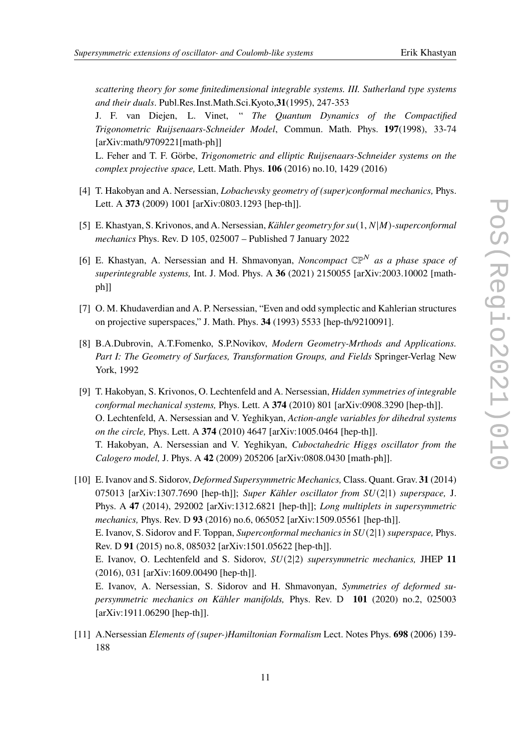*scattering theory for some finitedimensional integrable systems. III. Sutherland type systems and their duals*. Publ.Res.Inst.Math.Sci.Kyoto,**31**(1995), 247-353

J. F. van Diejen, L. Vinet, " *The Quantum Dynamics of the Compactified Trigonometric Ruijsenaars-Schneider Model*, Commun. Math. Phys. **197**(1998), 33-74 [arXiv:math/9709221[math-ph]]

L. Feher and T. F. Görbe, *Trigonometric and elliptic Ruijsenaars-Schneider systems on the complex projective space,* Lett. Math. Phys. **106** (2016) no.10, 1429 (2016)

- <span id="page-10-0"></span>[4] T. Hakobyan and A. Nersessian, *Lobachevsky geometry of (super)conformal mechanics,* Phys. Lett. A **373** (2009) 1001 [arXiv:0803.1293 [hep-th]].
- <span id="page-10-2"></span>[5] E. Khastyan, S. Krivonos, and A. Nersessian, *Kähler geometry for su*(1, N|M)-superconformal *mechanics* Phys. Rev. D 105, 025007 – Published 7 January 2022
- <span id="page-10-1"></span>[6] E. Khastyan, A. Nersessian and H. Shmavonyan, *Noncompact*  $\mathbb{CP}^N$  as a phase space of *superintegrable systems,* Int. J. Mod. Phys. A **36** (2021) 2150055 [arXiv:2003.10002 [mathph]]
- [7] O. M. Khudaverdian and A. P. Nersessian, "Even and odd symplectic and Kahlerian structures on projective superspaces," J. Math. Phys. **34** (1993) 5533 [hep-th/9210091].
- [8] B.A.Dubrovin, A.T.Fomenko, S.P.Novikov, *Modern Geometry-Mrthods and Applications. Part I: The Geometry of Surfaces, Transformation Groups, and Fields* Springer-Verlag New York, 1992
- [9] T. Hakobyan, S. Krivonos, O. Lechtenfeld and A. Nersessian, *Hidden symmetries of integrable conformal mechanical systems,* Phys. Lett. A **374** (2010) 801 [arXiv:0908.3290 [hep-th]]. O. Lechtenfeld, A. Nersessian and V. Yeghikyan, *Action-angle variables for dihedral systems on the circle,* Phys. Lett. A **374** (2010) 4647 [arXiv:1005.0464 [hep-th]]. T. Hakobyan, A. Nersessian and V. Yeghikyan, *Cuboctahedric Higgs oscillator from the Calogero model,* J. Phys. A **42** (2009) 205206 [arXiv:0808.0430 [math-ph]].

<span id="page-10-3"></span>[10] E. Ivanov and S. Sidorov, *Deformed Supersymmetric Mechanics,* Class. Quant. Grav. **31** (2014) 075013 [arXiv:1307.7690 [hep-th]]; *Super Kähler oscillator from* (2|1) *superspace,* J. Phys. A **47** (2014), 292002 [arXiv:1312.6821 [hep-th]]; *Long multiplets in supersymmetric mechanics,* Phys. Rev. D **93** (2016) no.6, 065052 [arXiv:1509.05561 [hep-th]]. E. Ivanov, S. Sidorov and F. Toppan, *Superconformal mechanics in* (2|1) *superspace,* Phys. Rev. D **91** (2015) no.8, 085032 [arXiv:1501.05622 [hep-th]].

E. Ivanov, O. Lechtenfeld and S. Sidorov, (2|2) *supersymmetric mechanics,* JHEP **11** (2016), 031 [arXiv:1609.00490 [hep-th]].

E. Ivanov, A. Nersessian, S. Sidorov and H. Shmavonyan, *Symmetries of deformed supersymmetric mechanics on Kähler manifolds,* Phys. Rev. D **101** (2020) no.2, 025003 [arXiv:1911.06290 [hep-th]].

[11] A.Nersessian *Elements of (super-)Hamiltonian Formalism* Lect. Notes Phys. **698** (2006) 139- 188